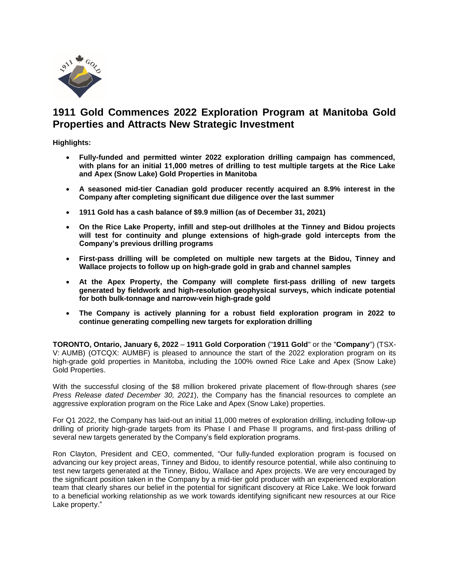

# **1911 Gold Commences 2022 Exploration Program at Manitoba Gold Properties and Attracts New Strategic Investment**

**Highlights:** 

- **Fully-funded and permitted winter 2022 exploration drilling campaign has commenced, with plans for an initial 11,000 metres of drilling to test multiple targets at the Rice Lake and Apex (Snow Lake) Gold Properties in Manitoba**
- **A seasoned mid-tier Canadian gold producer recently acquired an 8.9% interest in the Company after completing significant due diligence over the last summer**
- **1911 Gold has a cash balance of \$9.9 million (as of December 31, 2021)**
- **On the Rice Lake Property, infill and step-out drillholes at the Tinney and Bidou projects will test for continuity and plunge extensions of high-grade gold intercepts from the Company's previous drilling programs**
- **First-pass drilling will be completed on multiple new targets at the Bidou, Tinney and Wallace projects to follow up on high-grade gold in grab and channel samples**
- **At the Apex Property, the Company will complete first-pass drilling of new targets generated by fieldwork and high-resolution geophysical surveys, which indicate potential for both bulk-tonnage and narrow-vein high-grade gold**
- **The Company is actively planning for a robust field exploration program in 2022 to continue generating compelling new targets for exploration drilling**

**TORONTO, Ontario, January 6, 2022** – **1911 Gold Corporation** ("**1911 Gold**" or the "**Company**") (TSX-V: AUMB) (OTCQX: AUMBF) is pleased to announce the start of the 2022 exploration program on its high-grade gold properties in Manitoba, including the 100% owned Rice Lake and Apex (Snow Lake) Gold Properties.

With the successful closing of the \$8 million brokered private placement of flow-through shares (*see Press Release dated December 30, 2021*), the Company has the financial resources to complete an aggressive exploration program on the Rice Lake and Apex (Snow Lake) properties.

For Q1 2022, the Company has laid-out an initial 11,000 metres of exploration drilling, including follow-up drilling of priority high-grade targets from its Phase I and Phase II programs, and first-pass drilling of several new targets generated by the Company's field exploration programs.

Ron Clayton, President and CEO, commented, "Our fully-funded exploration program is focused on advancing our key project areas, Tinney and Bidou, to identify resource potential, while also continuing to test new targets generated at the Tinney, Bidou, Wallace and Apex projects. We are very encouraged by the significant position taken in the Company by a mid-tier gold producer with an experienced exploration team that clearly shares our belief in the potential for significant discovery at Rice Lake. We look forward to a beneficial working relationship as we work towards identifying significant new resources at our Rice Lake property."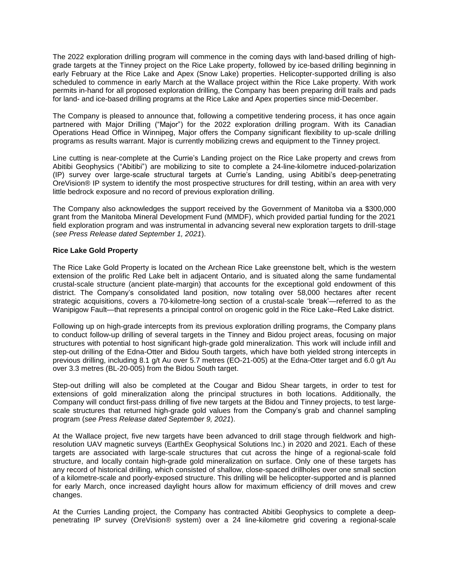The 2022 exploration drilling program will commence in the coming days with land-based drilling of highgrade targets at the Tinney project on the Rice Lake property, followed by ice-based drilling beginning in early February at the Rice Lake and Apex (Snow Lake) properties. Helicopter-supported drilling is also scheduled to commence in early March at the Wallace project within the Rice Lake property. With work permits in-hand for all proposed exploration drilling, the Company has been preparing drill trails and pads for land- and ice-based drilling programs at the Rice Lake and Apex properties since mid-December.

The Company is pleased to announce that, following a competitive tendering process, it has once again partnered with Major Drilling ("Major") for the 2022 exploration drilling program. With its Canadian Operations Head Office in Winnipeg, Major offers the Company significant flexibility to up-scale drilling programs as results warrant. Major is currently mobilizing crews and equipment to the Tinney project.

Line cutting is near-complete at the Currie's Landing project on the Rice Lake property and crews from Abitibi Geophysics ("Abitibi") are mobilizing to site to complete a 24-line-kilometre induced-polarization (IP) survey over large-scale structural targets at Currie's Landing, using Abitibi's deep-penetrating OreVision® IP system to identify the most prospective structures for drill testing, within an area with very little bedrock exposure and no record of previous exploration drilling.

The Company also acknowledges the support received by the Government of Manitoba via a \$300,000 grant from the Manitoba Mineral Development Fund (MMDF), which provided partial funding for the 2021 field exploration program and was instrumental in advancing several new exploration targets to drill-stage (*see Press Release dated September 1, 2021*).

#### **Rice Lake Gold Property**

The Rice Lake Gold Property is located on the Archean Rice Lake greenstone belt, which is the western extension of the prolific Red Lake belt in adjacent Ontario, and is situated along the same fundamental crustal-scale structure (ancient plate-margin) that accounts for the exceptional gold endowment of this district. The Company's consolidated land position, now totaling over 58,000 hectares after recent strategic acquisitions, covers a 70-kilometre-long section of a crustal-scale 'break'—referred to as the Wanipigow Fault—that represents a principal control on orogenic gold in the Rice Lake–Red Lake district.

Following up on high-grade intercepts from its previous exploration drilling programs, the Company plans to conduct follow-up drilling of several targets in the Tinney and Bidou project areas, focusing on major structures with potential to host significant high-grade gold mineralization. This work will include infill and step-out drilling of the Edna-Otter and Bidou South targets, which have both yielded strong intercepts in previous drilling, including 8.1 g/t Au over 5.7 metres (EO-21-005) at the Edna-Otter target and 6.0 g/t Au over 3.3 metres (BL-20-005) from the Bidou South target.

Step-out drilling will also be completed at the Cougar and Bidou Shear targets, in order to test for extensions of gold mineralization along the principal structures in both locations. Additionally, the Company will conduct first-pass drilling of five new targets at the Bidou and Tinney projects, to test largescale structures that returned high-grade gold values from the Company's grab and channel sampling program (*see Press Release dated September 9, 2021*).

At the Wallace project, five new targets have been advanced to drill stage through fieldwork and highresolution UAV magnetic surveys (EarthEx Geophysical Solutions Inc.) in 2020 and 2021. Each of these targets are associated with large-scale structures that cut across the hinge of a regional-scale fold structure, and locally contain high-grade gold mineralization on surface. Only one of these targets has any record of historical drilling, which consisted of shallow, close-spaced drillholes over one small section of a kilometre-scale and poorly-exposed structure. This drilling will be helicopter-supported and is planned for early March, once increased daylight hours allow for maximum efficiency of drill moves and crew changes.

At the Curries Landing project, the Company has contracted Abitibi Geophysics to complete a deeppenetrating IP survey (OreVision® system) over a 24 line-kilometre grid covering a regional-scale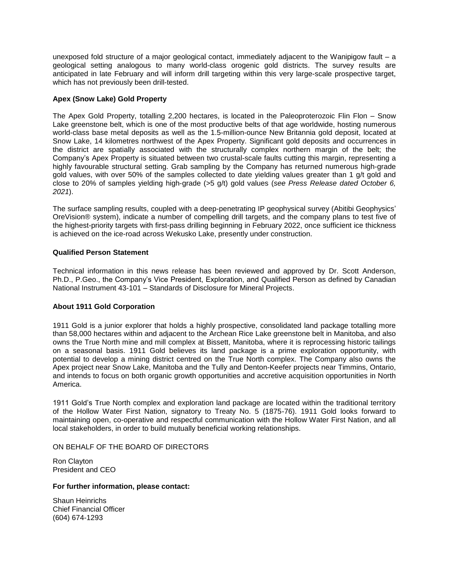unexposed fold structure of a major geological contact, immediately adjacent to the Wanipigow fault – a geological setting analogous to many world-class orogenic gold districts. The survey results are anticipated in late February and will inform drill targeting within this very large-scale prospective target, which has not previously been drill-tested.

### **Apex (Snow Lake) Gold Property**

The Apex Gold Property, totalling 2,200 hectares, is located in the Paleoproterozoic Flin Flon – Snow Lake greenstone belt, which is one of the most productive belts of that age worldwide, hosting numerous world-class base metal deposits as well as the 1.5-million-ounce New Britannia gold deposit, located at Snow Lake, 14 kilometres northwest of the Apex Property. Significant gold deposits and occurrences in the district are spatially associated with the structurally complex northern margin of the belt; the Company's Apex Property is situated between two crustal-scale faults cutting this margin, representing a highly favourable structural setting. Grab sampling by the Company has returned numerous high-grade gold values, with over 50% of the samples collected to date yielding values greater than 1 g/t gold and close to 20% of samples yielding high-grade (>5 g/t) gold values (*see Press Release dated October 6, 2021*).

The surface sampling results, coupled with a deep-penetrating IP geophysical survey (Abitibi Geophysics' OreVision® system), indicate a number of compelling drill targets, and the company plans to test five of the highest-priority targets with first-pass drilling beginning in February 2022, once sufficient ice thickness is achieved on the ice-road across Wekusko Lake, presently under construction.

## **Qualified Person Statement**

Technical information in this news release has been reviewed and approved by Dr. Scott Anderson, Ph.D., P.Geo., the Company's Vice President, Exploration, and Qualified Person as defined by Canadian National Instrument 43-101 – Standards of Disclosure for Mineral Projects.

#### **About 1911 Gold Corporation**

1911 Gold is a junior explorer that holds a highly prospective, consolidated land package totalling more than 58,000 hectares within and adjacent to the Archean Rice Lake greenstone belt in Manitoba, and also owns the True North mine and mill complex at Bissett, Manitoba, where it is reprocessing historic tailings on a seasonal basis. 1911 Gold believes its land package is a prime exploration opportunity, with potential to develop a mining district centred on the True North complex. The Company also owns the Apex project near Snow Lake, Manitoba and the Tully and Denton-Keefer projects near Timmins, Ontario, and intends to focus on both organic growth opportunities and accretive acquisition opportunities in North America.

1911 Gold's True North complex and exploration land package are located within the traditional territory of the Hollow Water First Nation, signatory to Treaty No. 5 (1875-76). 1911 Gold looks forward to maintaining open, co-operative and respectful communication with the Hollow Water First Nation, and all local stakeholders, in order to build mutually beneficial working relationships.

ON BEHALF OF THE BOARD OF DIRECTORS

Ron Clayton President and CEO

#### **For further information, please contact:**

Shaun Heinrichs Chief Financial Officer (604) 674-1293